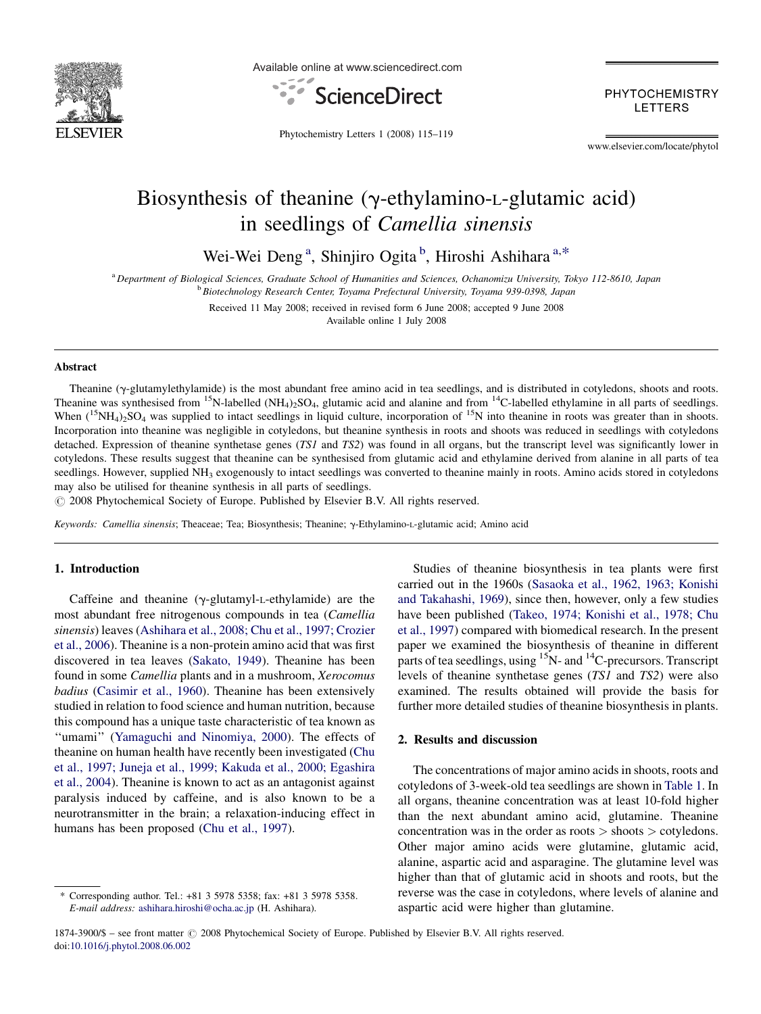

Available online at www.sciencedirect.com



PHYTOCHEMISTRY **LETTERS** 

Phytochemistry Letters 1 (2008) 115–119

www.elsevier.com/locate/phytol

# Biosynthesis of theanine ( $\gamma$ -ethylamino-L-glutamic acid) in seedlings of Camellia sinensis

Wei-Wei Deng<sup>a</sup>, Shinjiro Ogita<sup>b</sup>, Hiroshi Ashihara<sup>a,\*</sup>

<sup>a</sup> Department of Biological Sciences, Graduate School of Humanities and Sciences, Ochanomizu University, Tokyo 112-8610, Japan <sup>b</sup> Biotechnology Research Center, Toyama Prefectural University, Toyama 939-0398, Japan

> Received 11 May 2008; received in revised form 6 June 2008; accepted 9 June 2008 Available online 1 July 2008

#### Abstract

Theanine (y-glutamylethylamide) is the most abundant free amino acid in tea seedlings, and is distributed in cotyledons, shoots and roots. Theanine was synthesised from <sup>15</sup>N-labelled (NH<sub>4</sub>)<sub>2</sub>SO<sub>4</sub>, glutamic acid and alanine and from <sup>14</sup>C-labelled ethylamine in all parts of seedlings. When  $({}^{15}NH_4)_{2}SO_4$  was supplied to intact seedlings in liquid culture, incorporation of  ${}^{15}N$  into theanine in roots was greater than in shoots. Incorporation into theanine was negligible in cotyledons, but theanine synthesis in roots and shoots was reduced in seedlings with cotyledons detached. Expression of theanine synthetase genes (TS1 and TS2) was found in all organs, but the transcript level was significantly lower in cotyledons. These results suggest that theanine can be synthesised from glutamic acid and ethylamine derived from alanine in all parts of tea seedlings. However, supplied NH<sub>3</sub> exogenously to intact seedlings was converted to theanine mainly in roots. Amino acids stored in cotyledons may also be utilised for theanine synthesis in all parts of seedlings.

 $\odot$  2008 Phytochemical Society of Europe. Published by Elsevier B.V. All rights reserved.

Keywords: Camellia sinensis; Theaceae; Tea; Biosynthesis; Theanine; g-Ethylamino-L-glutamic acid; Amino acid

### 1. Introduction

Caffeine and theanine  $(\gamma$ -glutamyl-L-ethylamide) are the most abundant free nitrogenous compounds in tea (Camellia sinensis) leaves ([Ashihara et al., 2008; Chu et al., 1997; Crozier](#page-4-0) [et al., 2006](#page-4-0)). Theanine is a non-protein amino acid that was first discovered in tea leaves ([Sakato, 1949](#page-4-0)). Theanine has been found in some Camellia plants and in a mushroom, Xerocomus badius [\(Casimir et al., 1960](#page-4-0)). Theanine has been extensively studied in relation to food science and human nutrition, because this compound has a unique taste characteristic of tea known as ''umami'' ([Yamaguchi and Ninomiya, 2000\)](#page-4-0). The effects of theanine on human health have recently been investigated ([Chu](#page-4-0) [et al., 1997; Juneja et al., 1999; Kakuda et al., 2000; Egashira](#page-4-0) [et al., 2004](#page-4-0)). Theanine is known to act as an antagonist against paralysis induced by caffeine, and is also known to be a neurotransmitter in the brain; a relaxation-inducing effect in humans has been proposed [\(Chu et al., 1997](#page-4-0)).

Studies of theanine biosynthesis in tea plants were first carried out in the 1960s ([Sasaoka et al., 1962, 1963; Konishi](#page-4-0) [and Takahashi, 1969\)](#page-4-0), since then, however, only a few studies have been published ([Takeo, 1974; Konishi et al., 1978; Chu](#page-4-0) [et al., 1997\)](#page-4-0) compared with biomedical research. In the present paper we examined the biosynthesis of theanine in different parts of tea seedlings, using  ${}^{15}N$ - and  ${}^{14}C$ -precursors. Transcript levels of theanine synthetase genes (TS1 and TS2) were also examined. The results obtained will provide the basis for further more detailed studies of theanine biosynthesis in plants.

#### 2. Results and discussion

The concentrations of major amino acids in shoots, roots and cotyledons of 3-week-old tea seedlings are shown in [Table 1.](#page-1-0) In all organs, theanine concentration was at least 10-fold higher than the next abundant amino acid, glutamine. Theanine concentration was in the order as roots > shoots > cotyledons. Other major amino acids were glutamine, glutamic acid, alanine, aspartic acid and asparagine. The glutamine level was higher than that of glutamic acid in shoots and roots, but the reverse was the case in cotyledons, where levels of alanine and aspartic acid were higher than glutamine.

<sup>\*</sup> Corresponding author. Tel.: +81 3 5978 5358; fax: +81 3 5978 5358. E-mail address: [ashihara.hiroshi@ocha.ac.jp](mailto:ashihara.hiroshi@ocha.ac.jp) (H. Ashihara).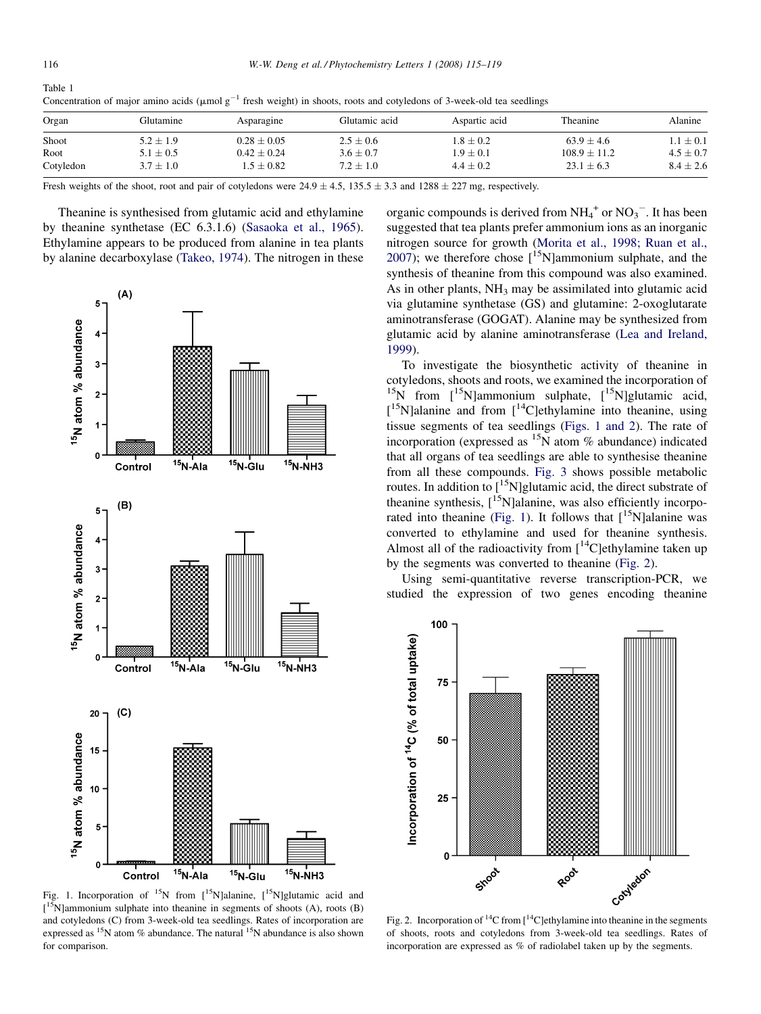<span id="page-1-0"></span>

| Table 1                                                                                                                           |  |
|-----------------------------------------------------------------------------------------------------------------------------------|--|
| Concentration of major amino acids ( $\mu$ mol $g^{-1}$ fresh weight) in shoots, roots and cotyledons of 3-week-old tea seedlings |  |

| Organ     | Glutamine     | Asparagine     | Glutamic acid | Aspartic acid | Theanine       | Alanine       |
|-----------|---------------|----------------|---------------|---------------|----------------|---------------|
| Shoot     | $5.2 \pm 1.9$ | $0.28 + 0.05$  | $2.5 + 0.6$   | $1.8 \pm 0.2$ | $63.9 + 4.6$   | $.1\pm0.1$    |
| Root      | $5.1 \pm 0.5$ | $0.42 + 0.24$  | $3.6 + 0.7$   | $1.9\pm0.1$   | $108.9 + 11.2$ | $4.5 \pm 0.7$ |
| Cotyledon | $3.7 \pm 1.0$ | $1.5 \pm 0.82$ | $7.2 \pm 1.0$ | $4.4 + 0.2$   | $23.1 \pm 6.3$ | $8.4 \pm 2.6$ |

Fresh weights of the shoot, root and pair of cotyledons were  $24.9 \pm 4.5$ ,  $135.5 \pm 3.3$  and  $1288 \pm 227$  mg, respectively.

Theanine is synthesised from glutamic acid and ethylamine by theanine synthetase (EC 6.3.1.6) ([Sasaoka et al., 1965\)](#page-4-0). Ethylamine appears to be produced from alanine in tea plants by alanine decarboxylase [\(Takeo, 1974\)](#page-4-0). The nitrogen in these



Fig. 1. Incorporation of <sup>15</sup>N from  $[15N]$ alanine,  $[15N]$ glutamic acid and  $[$ <sup>15</sup>N]ammonium sulphate into theanine in segments of shoots (A), roots (B) and cotyledons (C) from 3-week-old tea seedlings. Rates of incorporation are expressed as  $15N$  atom % abundance. The natural  $15N$  abundance is also shown for comparison.

organic compounds is derived from  $NH_4^+$  or  $NO_3^-$ . It has been suggested that tea plants prefer ammonium ions as an inorganic nitrogen source for growth [\(Morita et al., 1998; Ruan et al.,](#page-4-0) [2007\)](#page-4-0); we therefore chose  $[15N]$ ammonium sulphate, and the synthesis of theanine from this compound was also examined. As in other plants,  $NH_3$  may be assimilated into glutamic acid via glutamine synthetase (GS) and glutamine: 2-oxoglutarate aminotransferase (GOGAT). Alanine may be synthesized from glutamic acid by alanine aminotransferase [\(Lea and Ireland,](#page-4-0) [1999\)](#page-4-0).

To investigate the biosynthetic activity of theanine in cotyledons, shoots and roots, we examined the incorporation of <sup>15</sup>N from  $\int_0^{15} N$ ]ammonium sulphate,  $\int_0^{15} N$ ]glutamic acid, [<sup>15</sup>N]alanine and from [<sup>14</sup>C]ethylamine into theanine, using tissue segments of tea seedlings (Figs. 1 and 2). The rate of incorporation (expressed as  ${}^{15}N$  atom % abundance) indicated that all organs of tea seedlings are able to synthesise theanine from all these compounds. [Fig. 3](#page-2-0) shows possible metabolic routes. In addition to  $\int_0^{15}$ N]glutamic acid, the direct substrate of theanine synthesis,  $[15N]$ alanine, was also efficiently incorporated into theanine (Fig. 1). It follows that  $[^{15}N]$ alanine was converted to ethylamine and used for theanine synthesis. Almost all of the radioactivity from  $[$ <sup>14</sup>C]ethylamine taken up by the segments was converted to theanine (Fig. 2).

Using semi-quantitative reverse transcription-PCR, we studied the expression of two genes encoding theanine



of shoots, roots and cotyledons from 3-week-old tea seedlings. Rates of incorporation are expressed as % of radiolabel taken up by the segments.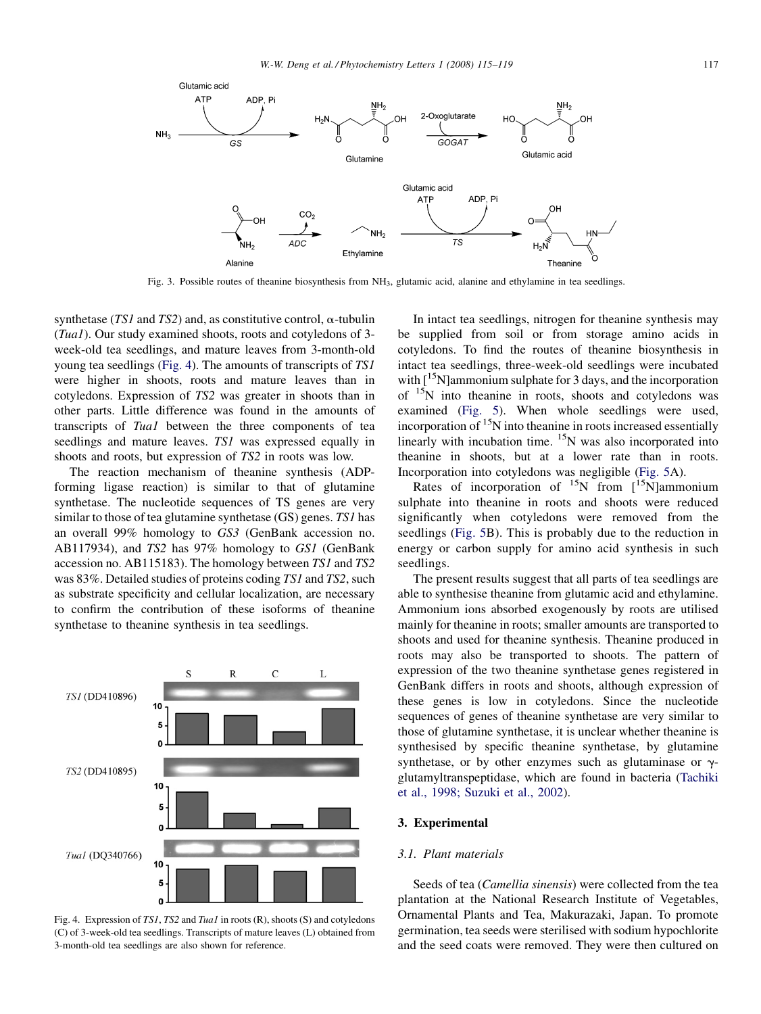<span id="page-2-0"></span>

Fig. 3. Possible routes of theanine biosynthesis from NH3, glutamic acid, alanine and ethylamine in tea seedlings.

synthetase (TS1 and TS2) and, as constitutive control,  $\alpha$ -tubulin (Tua1). Our study examined shoots, roots and cotyledons of 3 week-old tea seedlings, and mature leaves from 3-month-old young tea seedlings (Fig. 4). The amounts of transcripts of TS1 were higher in shoots, roots and mature leaves than in cotyledons. Expression of TS2 was greater in shoots than in other parts. Little difference was found in the amounts of transcripts of Tua1 between the three components of tea seedlings and mature leaves. TS1 was expressed equally in shoots and roots, but expression of TS2 in roots was low.

The reaction mechanism of theanine synthesis (ADPforming ligase reaction) is similar to that of glutamine synthetase. The nucleotide sequences of TS genes are very similar to those of tea glutamine synthetase (GS) genes. TS1 has an overall 99% homology to GS3 (GenBank accession no. AB117934), and TS2 has 97% homology to GS1 (GenBank accession no. AB115183). The homology between TS1 and TS2 was 83%. Detailed studies of proteins coding TS1 and TS2, such as substrate specificity and cellular localization, are necessary to confirm the contribution of these isoforms of theanine synthetase to theanine synthesis in tea seedlings.



Fig. 4. Expression of TS1, TS2 and Tua1 in roots (R), shoots (S) and cotyledons (C) of 3-week-old tea seedlings. Transcripts of mature leaves (L) obtained from 3-month-old tea seedlings are also shown for reference.

In intact tea seedlings, nitrogen for theanine synthesis may be supplied from soil or from storage amino acids in cotyledons. To find the routes of theanine biosynthesis in intact tea seedlings, three-week-old seedlings were incubated with  $\left[15\text{N}\right]$ ammonium sulphate for 3 days, and the incorporation of 15N into theanine in roots, shoots and cotyledons was examined ([Fig. 5\)](#page-3-0). When whole seedlings were used, incorporation of  ${}^{15}N$  into theanine in roots increased essentially linearly with incubation time.  ${}^{15}N$  was also incorporated into theanine in shoots, but at a lower rate than in roots. Incorporation into cotyledons was negligible [\(Fig. 5A](#page-3-0)).

Rates of incorporation of  $^{15}$ N from  $\left[ {}^{15}$ N]ammonium sulphate into theanine in roots and shoots were reduced significantly when cotyledons were removed from the seedlings [\(Fig. 5B](#page-3-0)). This is probably due to the reduction in energy or carbon supply for amino acid synthesis in such seedlings.

The present results suggest that all parts of tea seedlings are able to synthesise theanine from glutamic acid and ethylamine. Ammonium ions absorbed exogenously by roots are utilised mainly for theanine in roots; smaller amounts are transported to shoots and used for theanine synthesis. Theanine produced in roots may also be transported to shoots. The pattern of expression of the two theanine synthetase genes registered in GenBank differs in roots and shoots, although expression of these genes is low in cotyledons. Since the nucleotide sequences of genes of theanine synthetase are very similar to those of glutamine synthetase, it is unclear whether theanine is synthesised by specific theanine synthetase, by glutamine synthetase, or by other enzymes such as glutaminase or  $\gamma$ glutamyltranspeptidase, which are found in bacteria ([Tachiki](#page-4-0) [et al., 1998; Suzuki et al., 2002](#page-4-0)).

#### 3. Experimental

#### 3.1. Plant materials

Seeds of tea (Camellia sinensis) were collected from the tea plantation at the National Research Institute of Vegetables, Ornamental Plants and Tea, Makurazaki, Japan. To promote germination, tea seeds were sterilised with sodium hypochlorite and the seed coats were removed. They were then cultured on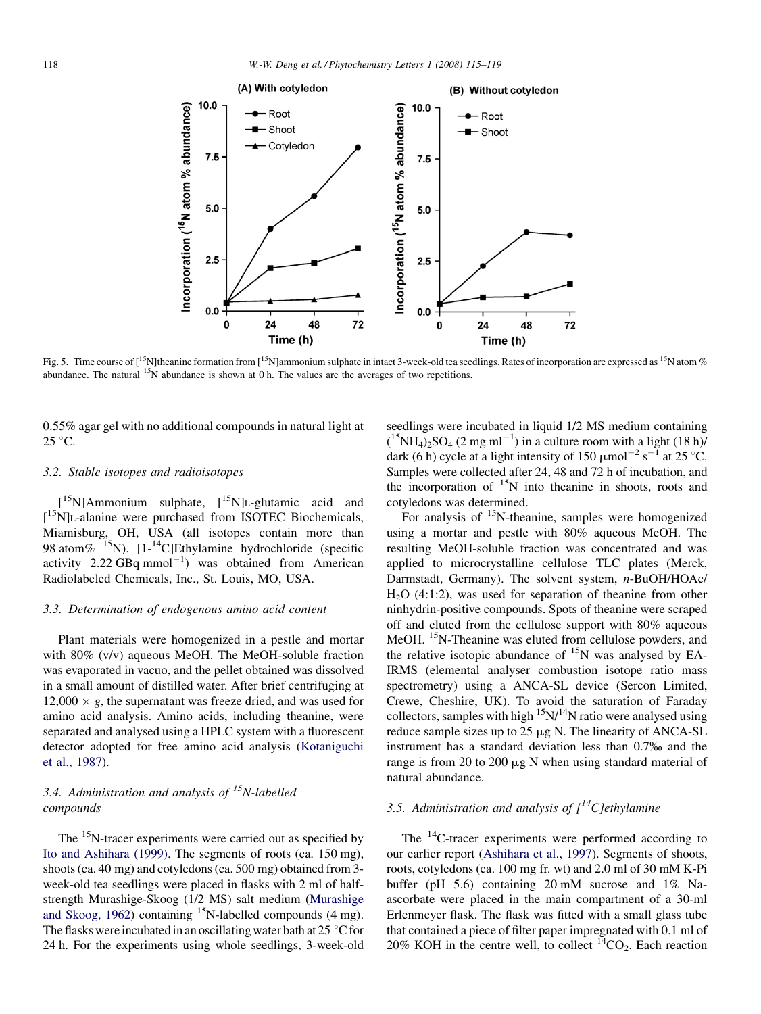<span id="page-3-0"></span>

Fig. 5. Time course of  $\left[1^{\text{5}}\text{N}\right]$  theanine formation from  $\left[1^{\text{5}}\text{N}\right]$  ammonium sulphate in intact 3-week-old tea seedlings. Rates of incorporation are expressed as  $\left[1^{\text{5}}\text{N}\right]$  atom % abundance. The natural  $15\text{N}$  abundance is shown at 0 h. The values are the averages of two repetitions.

0.55% agar gel with no additional compounds in natural light at  $25^{\circ}$ C.

#### 3.2. Stable isotopes and radioisotopes

[<sup>15</sup>N]Ammonium sulphate, [<sup>15</sup>N]L-glutamic acid and [ 15N]L-alanine were purchased from ISOTEC Biochemicals, Miamisburg, OH, USA (all isotopes contain more than 98 atom%  $^{15}N$ ). [1-<sup>14</sup>C]Ethylamine hydrochloride (specific activity 2.22  $GBq$  mmol<sup>-1</sup>) was obtained from American Radiolabeled Chemicals, Inc., St. Louis, MO, USA.

## 3.3. Determination of endogenous amino acid content

Plant materials were homogenized in a pestle and mortar with 80% (v/v) aqueous MeOH. The MeOH-soluble fraction was evaporated in vacuo, and the pellet obtained was dissolved in a small amount of distilled water. After brief centrifuging at  $12,000 \times g$ , the supernatant was freeze dried, and was used for amino acid analysis. Amino acids, including theanine, were separated and analysed using a HPLC system with a fluorescent detector adopted for free amino acid analysis ([Kotaniguchi](#page-4-0) [et al., 1987\)](#page-4-0).

## 3.4. Administration and analysis of  $^{15}N$ -labelled compounds

The <sup>15</sup>N-tracer experiments were carried out as specified by [Ito and Ashihara \(1999\)](#page-4-0). The segments of roots (ca. 150 mg), shoots (ca. 40 mg) and cotyledons (ca. 500 mg) obtained from 3 week-old tea seedlings were placed in flasks with 2 ml of halfstrength Murashige-Skoog (1/2 MS) salt medium ([Murashige](#page-4-0) [and Skoog, 1962](#page-4-0)) containing  $15N$ -labelled compounds (4 mg). The flasks were incubated in an oscillating water bath at  $25^{\circ}$ C for 24 h. For the experiments using whole seedlings, 3-week-old seedlings were incubated in liquid 1/2 MS medium containing  $($ <sup>15</sup>NH<sub>4</sub> $)$ <sub>2</sub>SO<sub>4</sub> (2 mg ml<sup>-1</sup>) in a culture room with a light (18 h) dark (6 h) cycle at a light intensity of 150  $\mu$ mol<sup>-2</sup> s<sup>-1</sup> at 25 °C. Samples were collected after 24, 48 and 72 h of incubation, and the incorporation of <sup>15</sup>N into theanine in shoots, roots and cotyledons was determined.

For analysis of <sup>15</sup>N-theanine, samples were homogenized using a mortar and pestle with 80% aqueous MeOH. The resulting MeOH-soluble fraction was concentrated and was applied to microcrystalline cellulose TLC plates (Merck, Darmstadt, Germany). The solvent system, n-BuOH/HOAc/  $H<sub>2</sub>O$  (4:1:2), was used for separation of theanine from other ninhydrin-positive compounds. Spots of theanine were scraped off and eluted from the cellulose support with 80% aqueous MeOH. <sup>15</sup>N-Theanine was eluted from cellulose powders, and the relative isotopic abundance of  $^{15}N$  was analysed by EA-IRMS (elemental analyser combustion isotope ratio mass spectrometry) using a ANCA-SL device (Sercon Limited, Crewe, Cheshire, UK). To avoid the saturation of Faraday collectors, samples with high  $15N/14N$  ratio were analysed using reduce sample sizes up to  $25 \mu g$  N. The linearity of ANCA-SL instrument has a standard deviation less than 0.7% and the range is from 20 to 200  $\mu$ g N when using standard material of natural abundance.

# 3.5. Administration and analysis of  $\int_1^{14}C_1$  ethylamine

The  $^{14}$ C-tracer experiments were performed according to our earlier report [\(Ashihara et al., 1997](#page-4-0)). Segments of shoots, roots, cotyledons (ca. 100 mg fr. wt) and 2.0 ml of 30 mM K-Pi buffer (pH 5.6) containing 20 mM sucrose and 1% Naascorbate were placed in the main compartment of a 30-ml Erlenmeyer flask. The flask was fitted with a small glass tube that contained a piece of filter paper impregnated with 0.1 ml of 20% KOH in the centre well, to collect  ${}^{14}CO_2$ . Each reaction